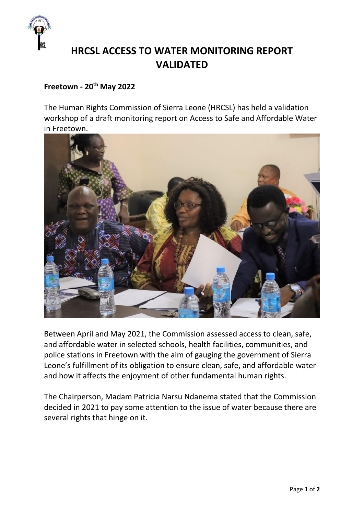

## **HRCSL ACCESS TO WATER MONITORING REPORT VALIDATED**

## **Freetown - 20th May 2022**

The Human Rights Commission of Sierra Leone (HRCSL) has held a validation workshop of a draft monitoring report on Access to Safe and Affordable Water in Freetown.



Between April and May 2021, the Commission assessed access to clean, safe, and affordable water in selected schools, health facilities, communities, and police stations in Freetown with the aim of gauging the government of Sierra Leone's fulfillment of its obligation to ensure clean, safe, and affordable water and how it affects the enjoyment of other fundamental human rights.

The Chairperson, Madam Patricia Narsu Ndanema stated that the Commission decided in 2021 to pay some attention to the issue of water because there are several rights that hinge on it.